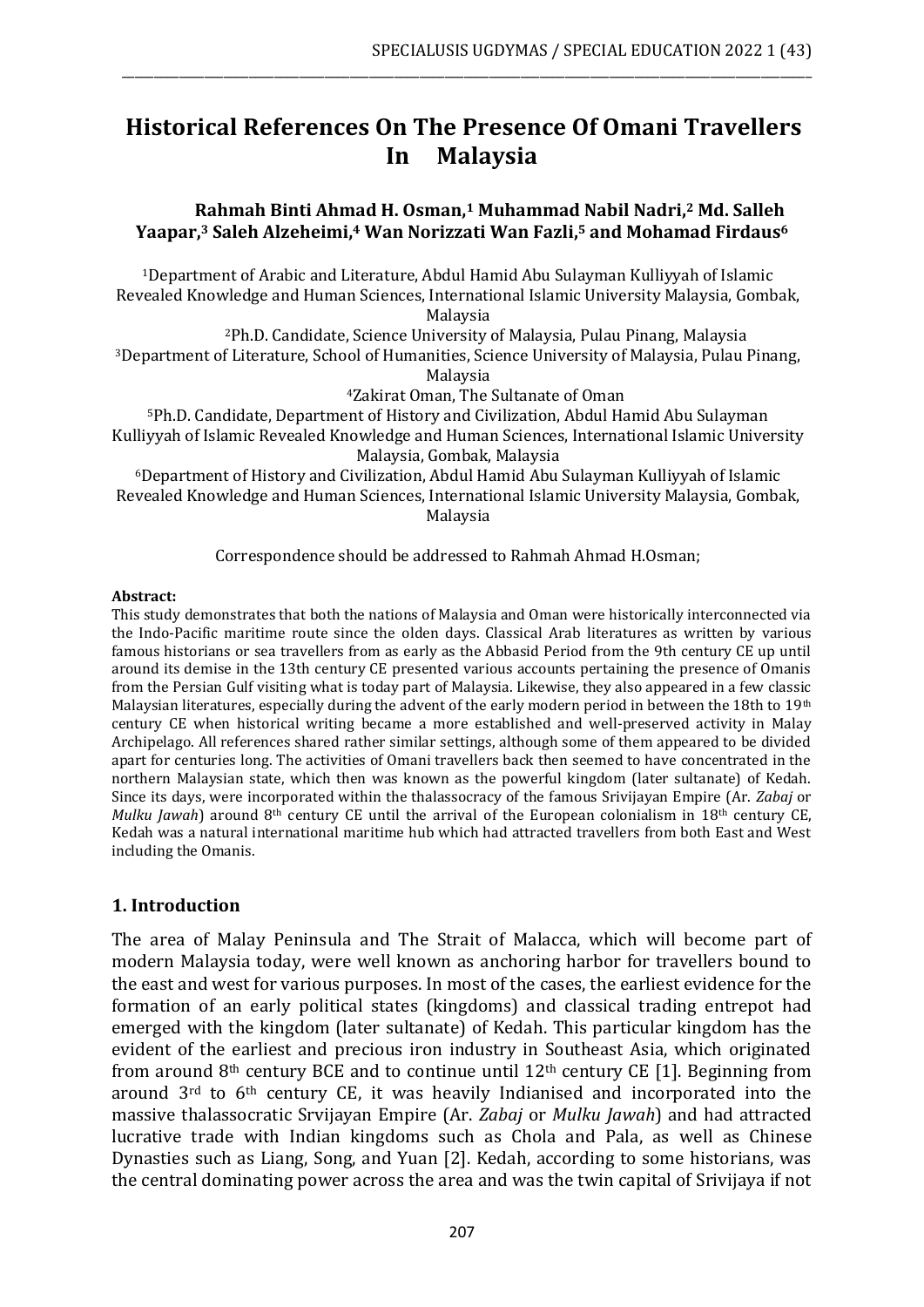# **Historical References On The Presence Of Omani Travellers In Malaysia**

\_\_\_\_\_\_\_\_\_\_\_\_\_\_\_\_\_\_\_\_\_\_\_\_\_\_\_\_\_\_\_\_\_\_\_\_\_\_\_\_\_\_\_\_\_\_\_\_\_\_\_\_\_\_\_\_\_\_\_\_\_\_\_\_\_\_\_\_\_\_\_\_\_\_\_\_\_\_\_\_\_\_\_\_\_\_\_\_\_\_\_\_\_\_\_\_\_\_\_\_\_\_\_\_\_\_\_\_\_

## **Rahmah Binti Ahmad H. Osman,<sup>1</sup> Muhammad Nabil Nadri, <sup>2</sup> Md. Salleh Yaapar,<sup>3</sup> Saleh Alzeheimi,<sup>4</sup> Wan Norizzati Wan Fazli, <sup>5</sup> and Mohamad Firdaus<sup>6</sup>**

<sup>1</sup>Department of Arabic and Literature, Abdul Hamid Abu Sulayman Kulliyyah of Islamic Revealed Knowledge and Human Sciences, International Islamic University Malaysia, Gombak, Malaysia

<sup>2</sup>Ph.D. Candidate, Science University of Malaysia, Pulau Pinang, Malaysia <sup>3</sup>Department of Literature, School of Humanities, Science University of Malaysia, Pulau Pinang, Malaysia

<sup>4</sup>Zakirat Oman, The Sultanate of Oman

<sup>5</sup>Ph.D. Candidate, Department of History and Civilization, Abdul Hamid Abu Sulayman Kulliyyah of Islamic Revealed Knowledge and Human Sciences, International Islamic University Malaysia, Gombak, Malaysia

<sup>6</sup>Department of History and Civilization, Abdul Hamid Abu Sulayman Kulliyyah of Islamic Revealed Knowledge and Human Sciences, International Islamic University Malaysia, Gombak, Malaysia

Correspondence should be addressed to Rahmah Ahmad H.Osman;

#### **Abstract:**

This study demonstrates that both the nations of Malaysia and Oman were historically interconnected via the Indo-Pacific maritime route since the olden days. Classical Arab literatures as written by various famous historians or sea travellers from as early as the Abbasid Period from the 9th century CE up until around its demise in the 13th century CE presented various accounts pertaining the presence of Omanis from the Persian Gulf visiting what is today part of Malaysia. Likewise, they also appeared in a few classic Malaysian literatures, especially during the advent of the early modern period in between the 18th to 19<sup>th</sup> century CE when historical writing became a more established and well-preserved activity in Malay Archipelago. All references shared rather similar settings, although some of them appeared to be divided apart for centuries long. The activities of Omani travellers back then seemed to have concentrated in the northern Malaysian state, which then was known as the powerful kingdom (later sultanate) of Kedah. Since its days, were incorporated within the thalassocracy of the famous Srivijayan Empire (Ar. *Zabaj* or *Mulku Jawah*) around 8<sup>th</sup> century CE until the arrival of the European colonialism in 18<sup>th</sup> century CE, Kedah was a natural international maritime hub which had attracted travellers from both East and West including the Omanis.

## **1. Introduction**

The area of Malay Peninsula and The Strait of Malacca, which will become part of modern Malaysia today, were well known as anchoring harbor for travellers bound to the east and west for various purposes. In most of the cases, the earliest evidence for the formation of an early political states (kingdoms) and classical trading entrepot had emerged with the kingdom (later sultanate) of Kedah. This particular kingdom has the evident of the earliest and precious iron industry in Southeast Asia, which originated from around  $8<sup>th</sup>$  century BCE and to continue until 12<sup>th</sup> century CE [1]. Beginning from around 3rd to 6th century CE, it was heavily Indianised and incorporated into the massive thalassocratic Srvijayan Empire (Ar. *Zabaj* or *Mulku Jawah*) and had attracted lucrative trade with Indian kingdoms such as Chola and Pala, as well as Chinese Dynasties such as Liang, Song, and Yuan [2]. Kedah, according to some historians, was the central dominating power across the area and was the twin capital of Srivijaya if not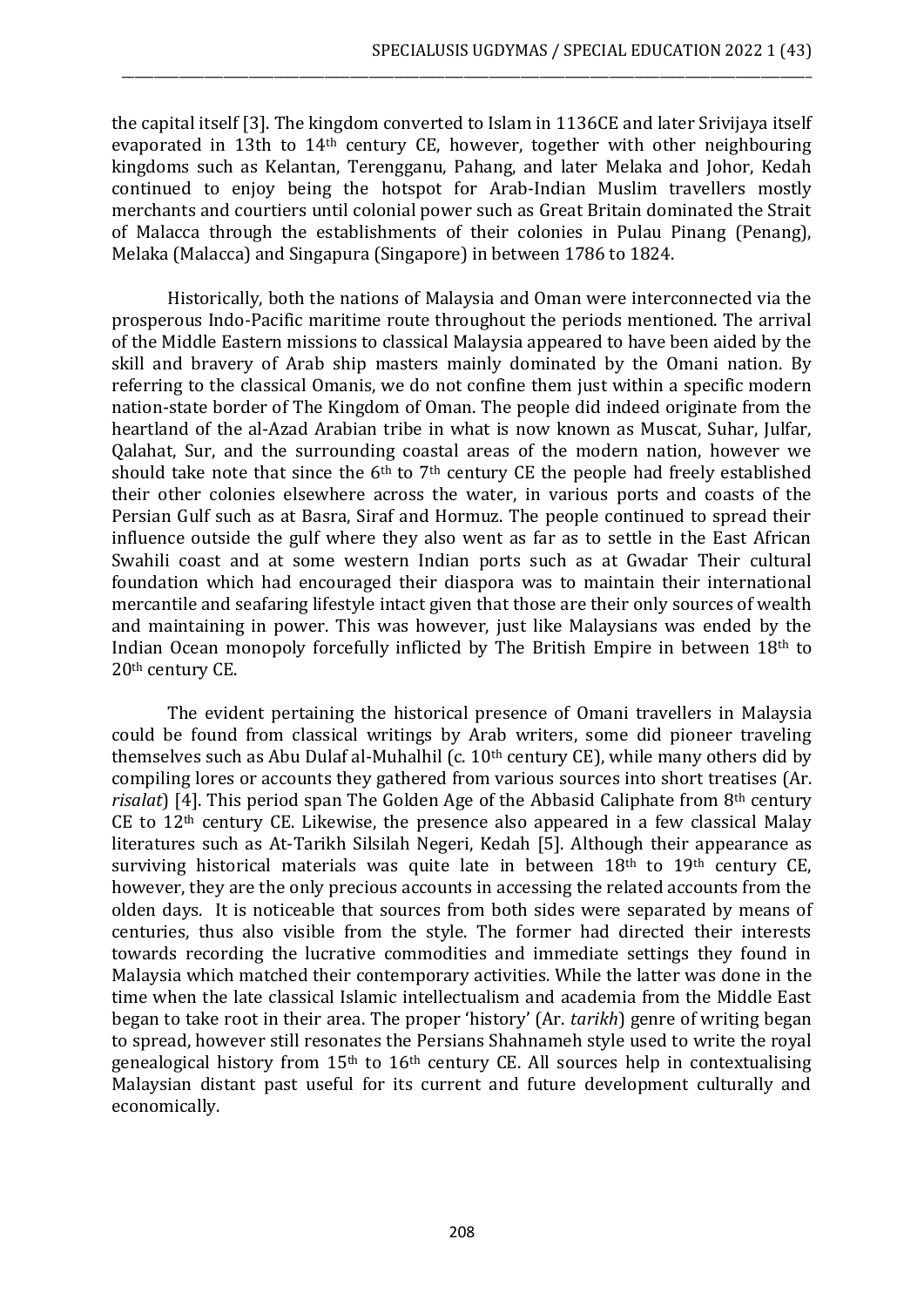the capital itself [3]. The kingdom converted to Islam in 1136CE and later Srivijaya itself evaporated in 13th to 14th century CE, however, together with other neighbouring kingdoms such as Kelantan, Terengganu, Pahang, and later Melaka and Johor, Kedah continued to enjoy being the hotspot for Arab-Indian Muslim travellers mostly merchants and courtiers until colonial power such as Great Britain dominated the Strait of Malacca through the establishments of their colonies in Pulau Pinang (Penang), Melaka (Malacca) and Singapura (Singapore) in between 1786 to 1824.

\_\_\_\_\_\_\_\_\_\_\_\_\_\_\_\_\_\_\_\_\_\_\_\_\_\_\_\_\_\_\_\_\_\_\_\_\_\_\_\_\_\_\_\_\_\_\_\_\_\_\_\_\_\_\_\_\_\_\_\_\_\_\_\_\_\_\_\_\_\_\_\_\_\_\_\_\_\_\_\_\_\_\_\_\_\_\_\_\_\_\_\_\_\_\_\_\_\_\_\_\_\_\_\_\_\_\_\_\_

Historically, both the nations of Malaysia and Oman were interconnected via the prosperous Indo-Pacific maritime route throughout the periods mentioned. The arrival of the Middle Eastern missions to classical Malaysia appeared to have been aided by the skill and bravery of Arab ship masters mainly dominated by the Omani nation. By referring to the classical Omanis, we do not confine them just within a specific modern nation-state border of The Kingdom of Oman. The people did indeed originate from the heartland of the al-Azad Arabian tribe in what is now known as Muscat, Suhar, Julfar, Qalahat, Sur, and the surrounding coastal areas of the modern nation, however we should take note that since the  $6<sup>th</sup>$  to  $7<sup>th</sup>$  century CE the people had freely established their other colonies elsewhere across the water, in various ports and coasts of the Persian Gulf such as at Basra, Siraf and Hormuz. The people continued to spread their influence outside the gulf where they also went as far as to settle in the East African Swahili coast and at some western Indian ports such as at Gwadar Their cultural foundation which had encouraged their diaspora was to maintain their international mercantile and seafaring lifestyle intact given that those are their only sources of wealth and maintaining in power. This was however, just like Malaysians was ended by the Indian Ocean monopoly forcefully inflicted by The British Empire in between 18th to 20th century CE.

The evident pertaining the historical presence of Omani travellers in Malaysia could be found from classical writings by Arab writers, some did pioneer traveling themselves such as Abu Dulaf al-Muhalhil (c. 10<sup>th</sup> century CE), while many others did by compiling lores or accounts they gathered from various sources into short treatises (Ar. *risalat*) [4]. This period span The Golden Age of the Abbasid Caliphate from 8th century CE to 12th century CE. Likewise, the presence also appeared in a few classical Malay literatures such as At-Tarikh Silsilah Negeri, Kedah [5]. Although their appearance as surviving historical materials was quite late in between 18<sup>th</sup> to 19<sup>th</sup> century CE, however, they are the only precious accounts in accessing the related accounts from the olden days. It is noticeable that sources from both sides were separated by means of centuries, thus also visible from the style. The former had directed their interests towards recording the lucrative commodities and immediate settings they found in Malaysia which matched their contemporary activities. While the latter was done in the time when the late classical Islamic intellectualism and academia from the Middle East began to take root in their area. The proper 'history' (Ar. *tarikh*) genre of writing began to spread, however still resonates the Persians Shahnameh style used to write the royal genealogical history from 15th to 16th century CE. All sources help in contextualising Malaysian distant past useful for its current and future development culturally and economically.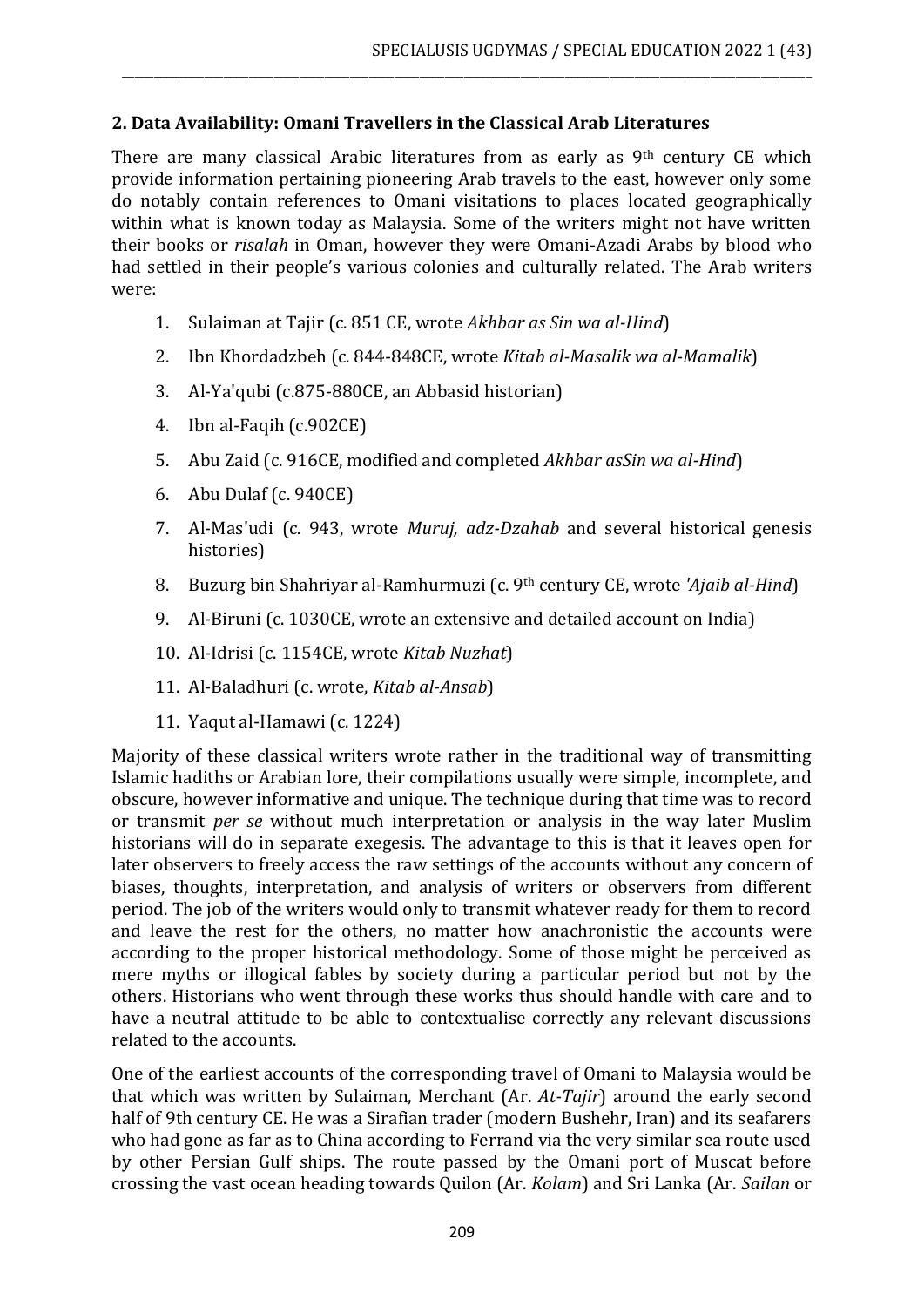# **2. Data Availability: Omani Travellers in the Classical Arab Literatures**

There are many classical Arabic literatures from as early as 9<sup>th</sup> century CE which provide information pertaining pioneering Arab travels to the east, however only some do notably contain references to Omani visitations to places located geographically within what is known today as Malaysia. Some of the writers might not have written their books or *risalah* in Oman, however they were Omani-Azadi Arabs by blood who had settled in their people's various colonies and culturally related. The Arab writers were:

\_\_\_\_\_\_\_\_\_\_\_\_\_\_\_\_\_\_\_\_\_\_\_\_\_\_\_\_\_\_\_\_\_\_\_\_\_\_\_\_\_\_\_\_\_\_\_\_\_\_\_\_\_\_\_\_\_\_\_\_\_\_\_\_\_\_\_\_\_\_\_\_\_\_\_\_\_\_\_\_\_\_\_\_\_\_\_\_\_\_\_\_\_\_\_\_\_\_\_\_\_\_\_\_\_\_\_\_\_

- 1. Sulaiman at Tajir (c. 851 CE, wrote *Akhbar as Sin wa al-Hind*)
- 2. Ibn Khordadzbeh (c. 844-848CE, wrote *Kitab al-Masalik wa al-Mamalik*)
- 3. Al-Ya'qubi (c.875-880CE, an Abbasid historian)
- 4. Ibn al-Faqih (c.902CE)
- 5. Abu Zaid (c. 916CE, modified and completed *Akhbar asSin wa al-Hind*)
- 6. Abu Dulaf (c. 940CE)
- 7. Al-Mas'udi (c. 943, wrote *Muruj, adz-Dzahab* and several historical genesis histories)
- 8. Buzurg bin Shahriyar al-Ramhurmuzi (c. 9th century CE, wrote *'Ajaib al-Hind*)
- 9. Al-Biruni (c. 1030CE, wrote an extensive and detailed account on India)
- 10. Al-Idrisi (c. 1154CE, wrote *Kitab Nuzhat*)
- 11. Al-Baladhuri (c. wrote, *Kitab al-Ansab*)
- 11. Yaqut al-Hamawi (c. 1224)

Majority of these classical writers wrote rather in the traditional way of transmitting Islamic hadiths or Arabian lore, their compilations usually were simple, incomplete, and obscure, however informative and unique. The technique during that time was to record or transmit *per se* without much interpretation or analysis in the way later Muslim historians will do in separate exegesis. The advantage to this is that it leaves open for later observers to freely access the raw settings of the accounts without any concern of biases, thoughts, interpretation, and analysis of writers or observers from different period. The job of the writers would only to transmit whatever ready for them to record and leave the rest for the others, no matter how anachronistic the accounts were according to the proper historical methodology. Some of those might be perceived as mere myths or illogical fables by society during a particular period but not by the others. Historians who went through these works thus should handle with care and to have a neutral attitude to be able to contextualise correctly any relevant discussions related to the accounts.

One of the earliest accounts of the corresponding travel of Omani to Malaysia would be that which was written by Sulaiman, Merchant (Ar. *At-Tajir*) around the early second half of 9th century CE. He was a Sirafian trader (modern Bushehr, Iran) and its seafarers who had gone as far as to China according to Ferrand via the very similar sea route used by other Persian Gulf ships. The route passed by the Omani port of Muscat before crossing the vast ocean heading towards Quilon (Ar. *Kolam*) and Sri Lanka (Ar. *Sailan* or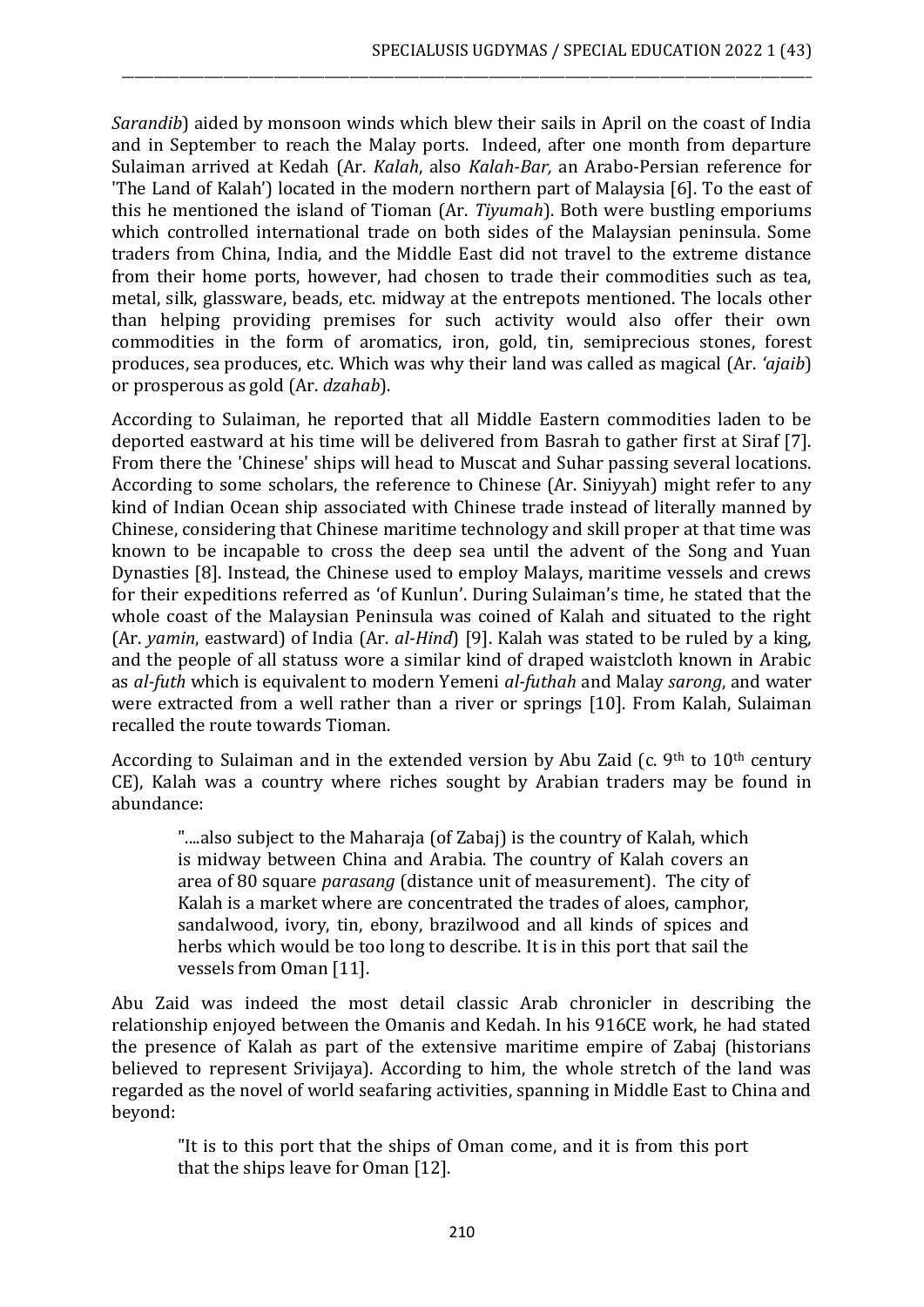*Sarandib*) aided by monsoon winds which blew their sails in April on the coast of India and in September to reach the Malay ports. Indeed, after one month from departure Sulaiman arrived at Kedah (Ar. *Kalah*, also *Kalah-Bar,* an Arabo-Persian reference for 'The Land of Kalah') located in the modern northern part of Malaysia [6]. To the east of this he mentioned the island of Tioman (Ar. *Tiyumah*). Both were bustling emporiums which controlled international trade on both sides of the Malaysian peninsula. Some traders from China, India, and the Middle East did not travel to the extreme distance from their home ports, however, had chosen to trade their commodities such as tea, metal, silk, glassware, beads, etc. midway at the entrepots mentioned. The locals other than helping providing premises for such activity would also offer their own commodities in the form of aromatics, iron, gold, tin, semiprecious stones, forest produces, sea produces, etc. Which was why their land was called as magical (Ar. *'ajaib*) or prosperous as gold (Ar. *dzahab*).

\_\_\_\_\_\_\_\_\_\_\_\_\_\_\_\_\_\_\_\_\_\_\_\_\_\_\_\_\_\_\_\_\_\_\_\_\_\_\_\_\_\_\_\_\_\_\_\_\_\_\_\_\_\_\_\_\_\_\_\_\_\_\_\_\_\_\_\_\_\_\_\_\_\_\_\_\_\_\_\_\_\_\_\_\_\_\_\_\_\_\_\_\_\_\_\_\_\_\_\_\_\_\_\_\_\_\_\_\_

According to Sulaiman, he reported that all Middle Eastern commodities laden to be deported eastward at his time will be delivered from Basrah to gather first at Siraf [7]. From there the 'Chinese' ships will head to Muscat and Suhar passing several locations. According to some scholars, the reference to Chinese (Ar. Siniyyah) might refer to any kind of Indian Ocean ship associated with Chinese trade instead of literally manned by Chinese, considering that Chinese maritime technology and skill proper at that time was known to be incapable to cross the deep sea until the advent of the Song and Yuan Dynasties [8]. Instead, the Chinese used to employ Malays, maritime vessels and crews for their expeditions referred as 'of Kunlun'. During Sulaiman's time, he stated that the whole coast of the Malaysian Peninsula was coined of Kalah and situated to the right (Ar. *yamin*, eastward) of India (Ar. *al-Hind*) [9]. Kalah was stated to be ruled by a king, and the people of all statuss wore a similar kind of draped waistcloth known in Arabic as *al-futh* which is equivalent to modern Yemeni *al-futhah* and Malay *sarong*, and water were extracted from a well rather than a river or springs [10]. From Kalah, Sulaiman recalled the route towards Tioman.

According to Sulaiman and in the extended version by Abu Zaid (c. 9<sup>th</sup> to  $10<sup>th</sup>$  century CE), Kalah was a country where riches sought by Arabian traders may be found in abundance:

"....also subject to the Maharaja (of Zabaj) is the country of Kalah, which is midway between China and Arabia. The country of Kalah covers an area of 80 square *parasang* (distance unit of measurement). The city of Kalah is a market where are concentrated the trades of aloes, camphor, sandalwood, ivory, tin, ebony, brazilwood and all kinds of spices and herbs which would be too long to describe. It is in this port that sail the vessels from Oman [11].

Abu Zaid was indeed the most detail classic Arab chronicler in describing the relationship enjoyed between the Omanis and Kedah. In his 916CE work, he had stated the presence of Kalah as part of the extensive maritime empire of Zabaj (historians believed to represent Srivijaya). According to him, the whole stretch of the land was regarded as the novel of world seafaring activities, spanning in Middle East to China and beyond:

"It is to this port that the ships of Oman come, and it is from this port that the ships leave for Oman [12].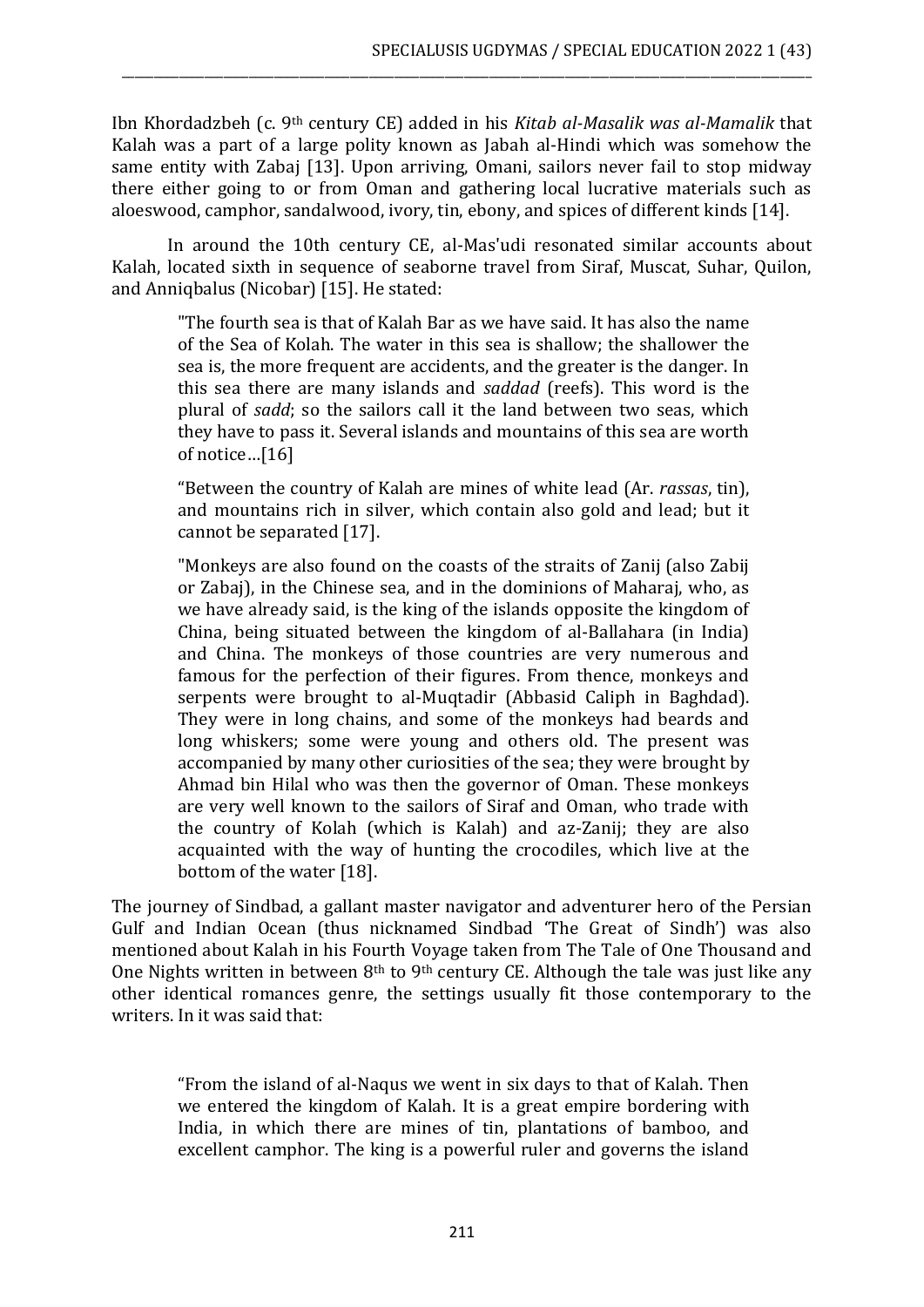Ibn Khordadzbeh (c. 9th century CE) added in his *Kitab al-Masalik was al-Mamalik* that Kalah was a part of a large polity known as Jabah al-Hindi which was somehow the same entity with Zabaj [13]. Upon arriving, Omani, sailors never fail to stop midway there either going to or from Oman and gathering local lucrative materials such as aloeswood, camphor, sandalwood, ivory, tin, ebony, and spices of different kinds [14].

\_\_\_\_\_\_\_\_\_\_\_\_\_\_\_\_\_\_\_\_\_\_\_\_\_\_\_\_\_\_\_\_\_\_\_\_\_\_\_\_\_\_\_\_\_\_\_\_\_\_\_\_\_\_\_\_\_\_\_\_\_\_\_\_\_\_\_\_\_\_\_\_\_\_\_\_\_\_\_\_\_\_\_\_\_\_\_\_\_\_\_\_\_\_\_\_\_\_\_\_\_\_\_\_\_\_\_\_\_

In around the 10th century CE, al-Mas'udi resonated similar accounts about Kalah, located sixth in sequence of seaborne travel from Siraf, Muscat, Suhar, Quilon, and Anniqbalus (Nicobar) [15]. He stated:

"The fourth sea is that of Kalah Bar as we have said. It has also the name of the Sea of Kolah. The water in this sea is shallow; the shallower the sea is, the more frequent are accidents, and the greater is the danger. In this sea there are many islands and *saddad* (reefs). This word is the plural of *sadd*; so the sailors call it the land between two seas, which they have to pass it. Several islands and mountains of this sea are worth of notice…[16]

"Between the country of Kalah are mines of white lead (Ar. *rassas*, tin), and mountains rich in silver, which contain also gold and lead; but it cannot be separated [17].

"Monkeys are also found on the coasts of the straits of Zanij (also Zabij or Zabaj), in the Chinese sea, and in the dominions of Maharaj, who, as we have already said, is the king of the islands opposite the kingdom of China, being situated between the kingdom of al-Ballahara (in India) and China. The monkeys of those countries are very numerous and famous for the perfection of their figures. From thence, monkeys and serpents were brought to al-Muqtadir (Abbasid Caliph in Baghdad). They were in long chains, and some of the monkeys had beards and long whiskers; some were young and others old. The present was accompanied by many other curiosities of the sea; they were brought by Ahmad bin Hilal who was then the governor of Oman. These monkeys are very well known to the sailors of Siraf and Oman, who trade with the country of Kolah (which is Kalah) and az-Zanij; they are also acquainted with the way of hunting the crocodiles, which live at the bottom of the water [18].

The journey of Sindbad, a gallant master navigator and adventurer hero of the Persian Gulf and Indian Ocean (thus nicknamed Sindbad 'The Great of Sindh') was also mentioned about Kalah in his Fourth Voyage taken from The Tale of One Thousand and One Nights written in between 8<sup>th</sup> to 9<sup>th</sup> century CE. Although the tale was just like any other identical romances genre, the settings usually fit those contemporary to the writers. In it was said that:

"From the island of al-Naqus we went in six days to that of Kalah. Then we entered the kingdom of Kalah. It is a great empire bordering with India, in which there are mines of tin, plantations of bamboo, and excellent camphor. The king is a powerful ruler and governs the island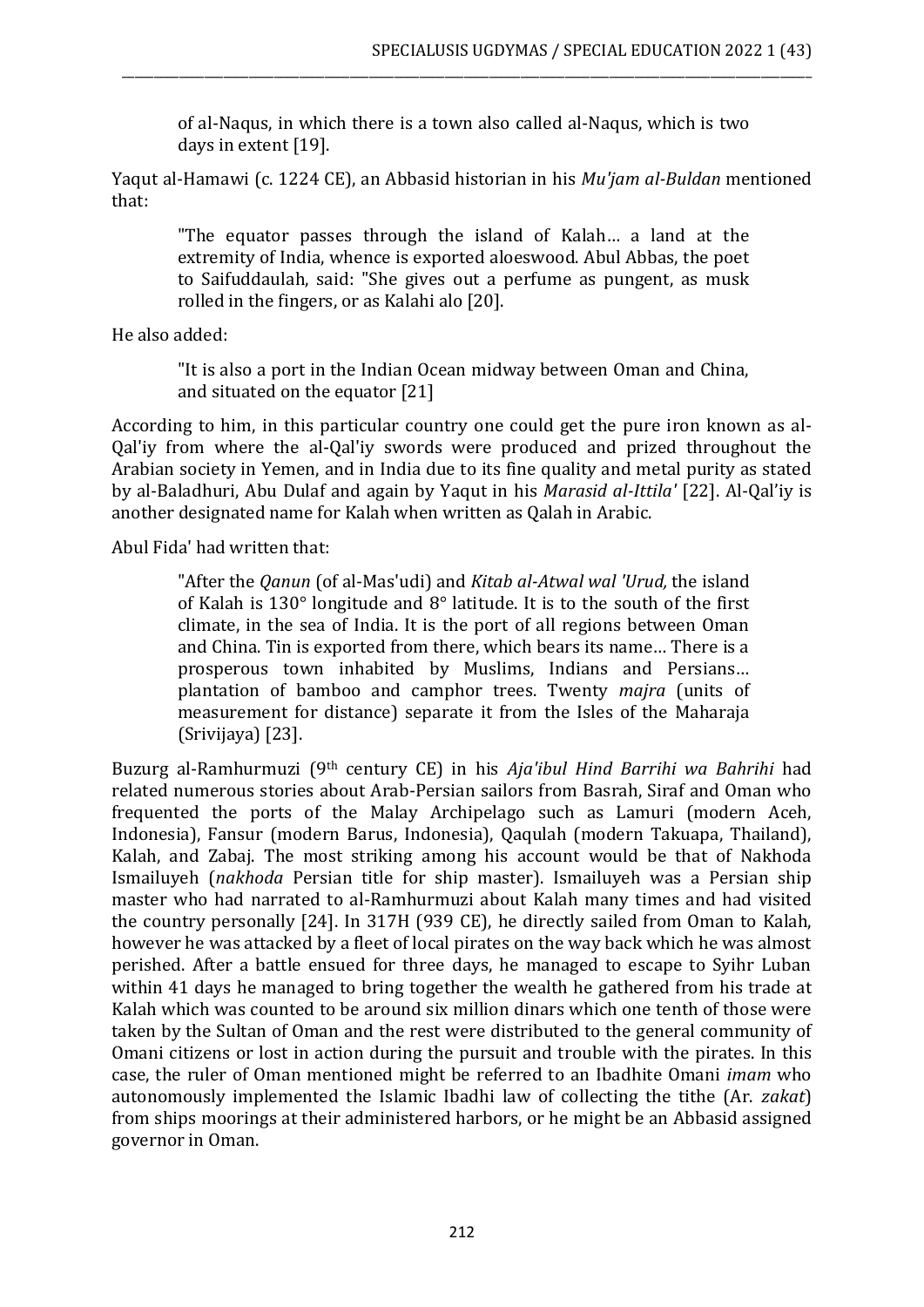of al-Naqus, in which there is a town also called al-Naqus, which is two days in extent [19].

\_\_\_\_\_\_\_\_\_\_\_\_\_\_\_\_\_\_\_\_\_\_\_\_\_\_\_\_\_\_\_\_\_\_\_\_\_\_\_\_\_\_\_\_\_\_\_\_\_\_\_\_\_\_\_\_\_\_\_\_\_\_\_\_\_\_\_\_\_\_\_\_\_\_\_\_\_\_\_\_\_\_\_\_\_\_\_\_\_\_\_\_\_\_\_\_\_\_\_\_\_\_\_\_\_\_\_\_\_

Yaqut al-Hamawi (c. 1224 CE), an Abbasid historian in his *Mu'jam al-Buldan* mentioned that:

"The equator passes through the island of Kalah… a land at the extremity of India, whence is exported aloeswood. Abul Abbas, the poet to Saifuddaulah, said: "She gives out a perfume as pungent, as musk rolled in the fingers, or as Kalahi alo [20].

He also added:

"It is also a port in the Indian Ocean midway between Oman and China, and situated on the equator [21]

According to him, in this particular country one could get the pure iron known as al-Qal'iy from where the al-Qal'iy swords were produced and prized throughout the Arabian society in Yemen, and in India due to its fine quality and metal purity as stated by al-Baladhuri, Abu Dulaf and again by Yaqut in his *Marasid al-Ittila'* [22]. Al-Qal'iy is another designated name for Kalah when written as Qalah in Arabic.

Abul Fida' had written that:

"After the *Qanun* (of al-Mas'udi) and *Kitab al-Atwal wal 'Urud,* the island of Kalah is 130° longitude and 8° latitude. It is to the south of the first climate, in the sea of India. It is the port of all regions between Oman and China. Tin is exported from there, which bears its name… There is a prosperous town inhabited by Muslims, Indians and Persians… plantation of bamboo and camphor trees. Twenty *majra* (units of measurement for distance) separate it from the Isles of the Maharaja (Srivijaya) [23].

Buzurg al-Ramhurmuzi (9th century CE) in his *Aja'ibul Hind Barrihi wa Bahrihi* had related numerous stories about Arab-Persian sailors from Basrah, Siraf and Oman who frequented the ports of the Malay Archipelago such as Lamuri (modern Aceh, Indonesia), Fansur (modern Barus, Indonesia), Qaqulah (modern Takuapa, Thailand), Kalah, and Zabaj. The most striking among his account would be that of Nakhoda Ismailuyeh (*nakhoda* Persian title for ship master). Ismailuyeh was a Persian ship master who had narrated to al-Ramhurmuzi about Kalah many times and had visited the country personally [24]. In 317H (939 CE), he directly sailed from Oman to Kalah, however he was attacked by a fleet of local pirates on the way back which he was almost perished. After a battle ensued for three days, he managed to escape to Syihr Luban within 41 days he managed to bring together the wealth he gathered from his trade at Kalah which was counted to be around six million dinars which one tenth of those were taken by the Sultan of Oman and the rest were distributed to the general community of Omani citizens or lost in action during the pursuit and trouble with the pirates. In this case, the ruler of Oman mentioned might be referred to an Ibadhite Omani *imam* who autonomously implemented the Islamic Ibadhi law of collecting the tithe (Ar. *zakat*) from ships moorings at their administered harbors, or he might be an Abbasid assigned governor in Oman.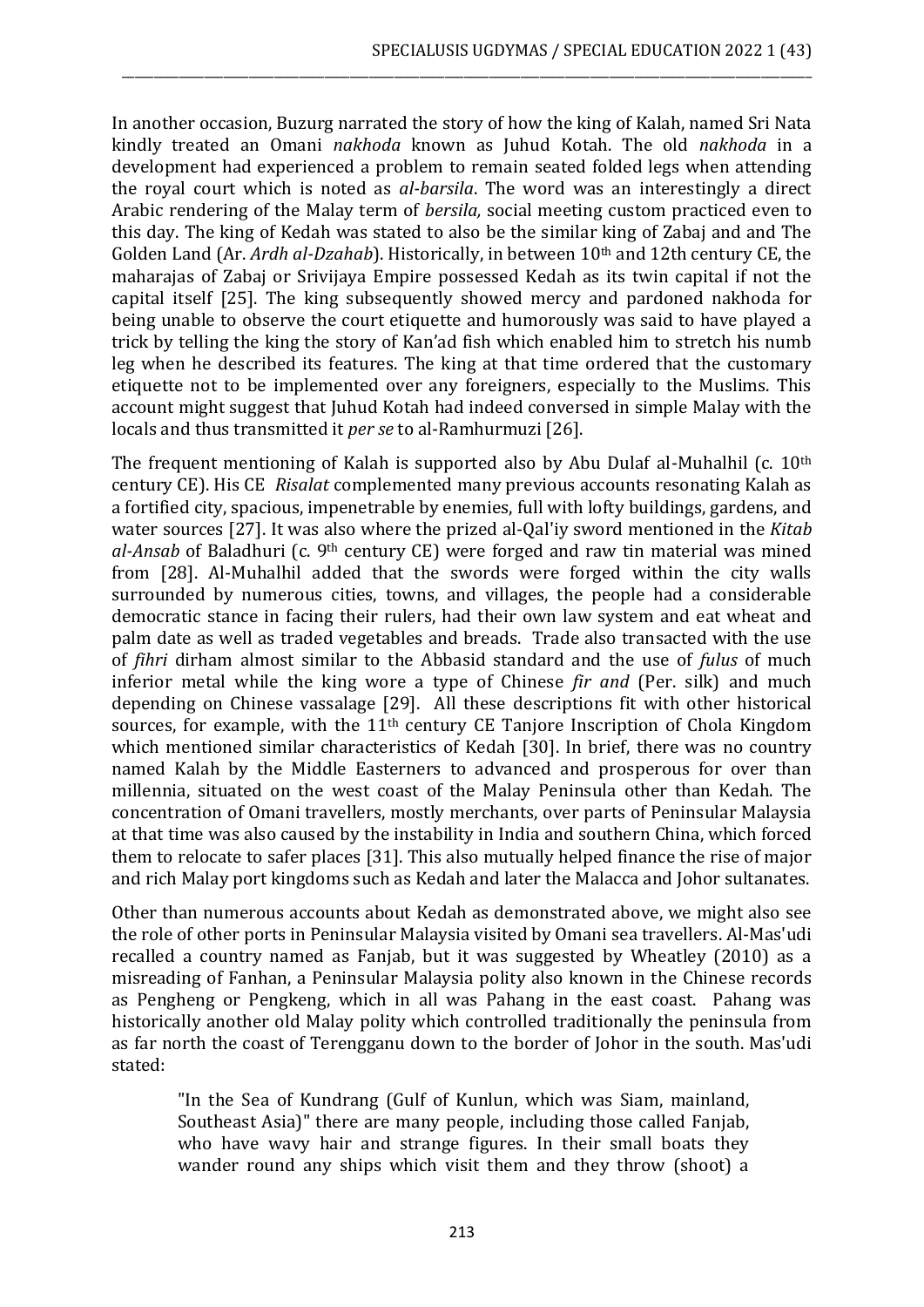In another occasion, Buzurg narrated the story of how the king of Kalah, named Sri Nata kindly treated an Omani *nakhoda* known as Juhud Kotah. The old *nakhoda* in a development had experienced a problem to remain seated folded legs when attending the royal court which is noted as *al-barsila*. The word was an interestingly a direct Arabic rendering of the Malay term of *bersila,* social meeting custom practiced even to this day. The king of Kedah was stated to also be the similar king of Zabaj and and The Golden Land (Ar. *Ardh al-Dzahab*). Historically, in between 10th and 12th century CE, the maharajas of Zabaj or Srivijaya Empire possessed Kedah as its twin capital if not the capital itself [25]. The king subsequently showed mercy and pardoned nakhoda for being unable to observe the court etiquette and humorously was said to have played a trick by telling the king the story of Kan'ad fish which enabled him to stretch his numb leg when he described its features. The king at that time ordered that the customary etiquette not to be implemented over any foreigners, especially to the Muslims. This account might suggest that Juhud Kotah had indeed conversed in simple Malay with the locals and thus transmitted it *per se* to al-Ramhurmuzi [26].

\_\_\_\_\_\_\_\_\_\_\_\_\_\_\_\_\_\_\_\_\_\_\_\_\_\_\_\_\_\_\_\_\_\_\_\_\_\_\_\_\_\_\_\_\_\_\_\_\_\_\_\_\_\_\_\_\_\_\_\_\_\_\_\_\_\_\_\_\_\_\_\_\_\_\_\_\_\_\_\_\_\_\_\_\_\_\_\_\_\_\_\_\_\_\_\_\_\_\_\_\_\_\_\_\_\_\_\_\_

The frequent mentioning of Kalah is supported also by Abu Dulaf al-Muhalhil (c. 10th century CE). His CE *Risalat* complemented many previous accounts resonating Kalah as a fortified city, spacious, impenetrable by enemies, full with lofty buildings, gardens, and water sources [27]. It was also where the prized al-Qal'iy sword mentioned in the *Kitab al-Ansab* of Baladhuri (c. 9th century CE) were forged and raw tin material was mined from [28]. Al-Muhalhil added that the swords were forged within the city walls surrounded by numerous cities, towns, and villages, the people had a considerable democratic stance in facing their rulers, had their own law system and eat wheat and palm date as well as traded vegetables and breads. Trade also transacted with the use of *fihri* dirham almost similar to the Abbasid standard and the use of *fulus* of much inferior metal while the king wore a type of Chinese *fir and* (Per. silk) and much depending on Chinese vassalage [29]. All these descriptions fit with other historical sources, for example, with the 11<sup>th</sup> century CE Tanjore Inscription of Chola Kingdom which mentioned similar characteristics of Kedah [30]. In brief, there was no country named Kalah by the Middle Easterners to advanced and prosperous for over than millennia, situated on the west coast of the Malay Peninsula other than Kedah. The concentration of Omani travellers, mostly merchants, over parts of Peninsular Malaysia at that time was also caused by the instability in India and southern China, which forced them to relocate to safer places [31]. This also mutually helped finance the rise of major and rich Malay port kingdoms such as Kedah and later the Malacca and Johor sultanates.

Other than numerous accounts about Kedah as demonstrated above, we might also see the role of other ports in Peninsular Malaysia visited by Omani sea travellers. Al-Mas'udi recalled a country named as Fanjab, but it was suggested by Wheatley (2010) as a misreading of Fanhan, a Peninsular Malaysia polity also known in the Chinese records as Pengheng or Pengkeng, which in all was Pahang in the east coast. Pahang was historically another old Malay polity which controlled traditionally the peninsula from as far north the coast of Terengganu down to the border of Johor in the south. Mas'udi stated:

"In the Sea of Kundrang (Gulf of Kunlun, which was Siam, mainland, Southeast Asia)" there are many people, including those called Fanjab, who have wavy hair and strange figures. In their small boats they wander round any ships which visit them and they throw (shoot) a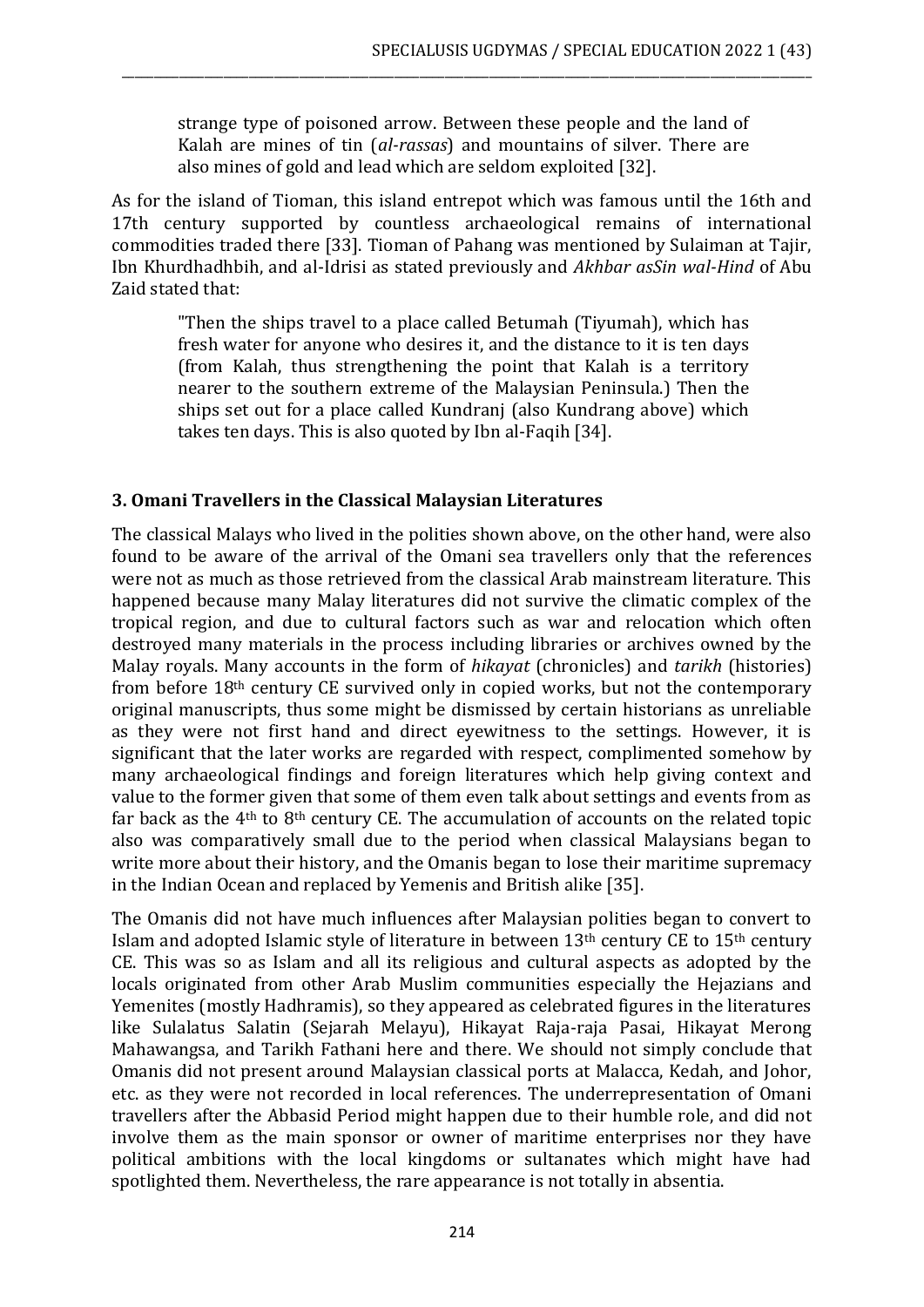strange type of poisoned arrow. Between these people and the land of Kalah are mines of tin (*al-rassas*) and mountains of silver. There are also mines of gold and lead which are seldom exploited [32].

\_\_\_\_\_\_\_\_\_\_\_\_\_\_\_\_\_\_\_\_\_\_\_\_\_\_\_\_\_\_\_\_\_\_\_\_\_\_\_\_\_\_\_\_\_\_\_\_\_\_\_\_\_\_\_\_\_\_\_\_\_\_\_\_\_\_\_\_\_\_\_\_\_\_\_\_\_\_\_\_\_\_\_\_\_\_\_\_\_\_\_\_\_\_\_\_\_\_\_\_\_\_\_\_\_\_\_\_\_

As for the island of Tioman, this island entrepot which was famous until the 16th and 17th century supported by countless archaeological remains of international commodities traded there [33]. Tioman of Pahang was mentioned by Sulaiman at Tajir, Ibn Khurdhadhbih, and al-Idrisi as stated previously and *Akhbar asSin wal-Hind* of Abu Zaid stated that:

"Then the ships travel to a place called Betumah (Tiyumah), which has fresh water for anyone who desires it, and the distance to it is ten days (from Kalah, thus strengthening the point that Kalah is a territory nearer to the southern extreme of the Malaysian Peninsula.) Then the ships set out for a place called Kundranj (also Kundrang above) which takes ten days. This is also quoted by Ibn al-Faqih [34].

# **3. Omani Travellers in the Classical Malaysian Literatures**

The classical Malays who lived in the polities shown above, on the other hand, were also found to be aware of the arrival of the Omani sea travellers only that the references were not as much as those retrieved from the classical Arab mainstream literature. This happened because many Malay literatures did not survive the climatic complex of the tropical region, and due to cultural factors such as war and relocation which often destroyed many materials in the process including libraries or archives owned by the Malay royals. Many accounts in the form of *hikayat* (chronicles) and *tarikh* (histories) from before 18th century CE survived only in copied works, but not the contemporary original manuscripts, thus some might be dismissed by certain historians as unreliable as they were not first hand and direct eyewitness to the settings. However, it is significant that the later works are regarded with respect, complimented somehow by many archaeological findings and foreign literatures which help giving context and value to the former given that some of them even talk about settings and events from as far back as the 4th to 8th century CE. The accumulation of accounts on the related topic also was comparatively small due to the period when classical Malaysians began to write more about their history, and the Omanis began to lose their maritime supremacy in the Indian Ocean and replaced by Yemenis and British alike [35].

The Omanis did not have much influences after Malaysian polities began to convert to Islam and adopted Islamic style of literature in between 13th century CE to 15th century CE. This was so as Islam and all its religious and cultural aspects as adopted by the locals originated from other Arab Muslim communities especially the Hejazians and Yemenites (mostly Hadhramis), so they appeared as celebrated figures in the literatures like Sulalatus Salatin (Sejarah Melayu), Hikayat Raja-raja Pasai, Hikayat Merong Mahawangsa, and Tarikh Fathani here and there. We should not simply conclude that Omanis did not present around Malaysian classical ports at Malacca, Kedah, and Johor, etc. as they were not recorded in local references. The underrepresentation of Omani travellers after the Abbasid Period might happen due to their humble role, and did not involve them as the main sponsor or owner of maritime enterprises nor they have political ambitions with the local kingdoms or sultanates which might have had spotlighted them. Nevertheless, the rare appearance is not totally in absentia.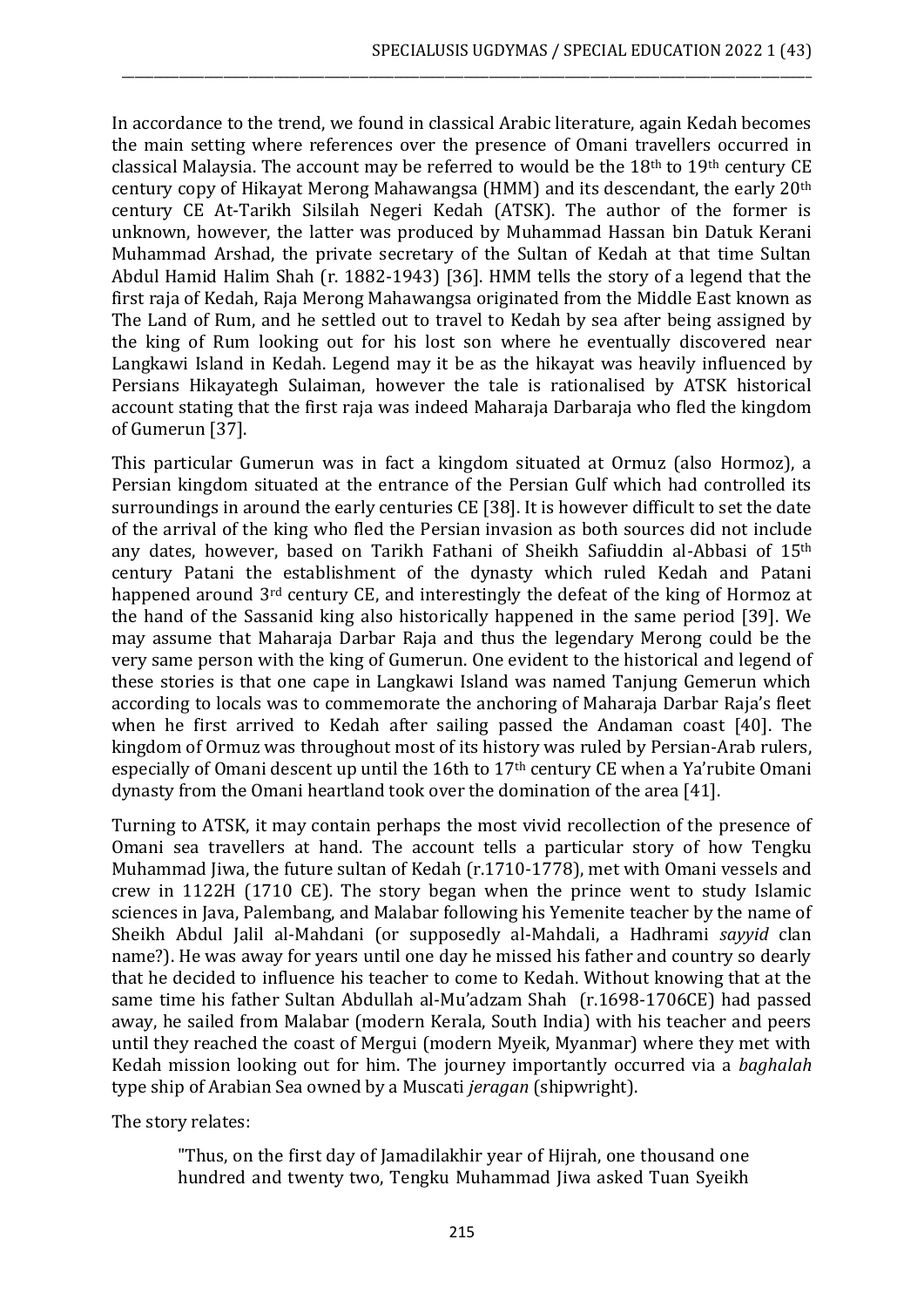In accordance to the trend, we found in classical Arabic literature, again Kedah becomes the main setting where references over the presence of Omani travellers occurred in classical Malaysia. The account may be referred to would be the  $18<sup>th</sup>$  to  $19<sup>th</sup>$  century CE century copy of Hikayat Merong Mahawangsa (HMM) and its descendant, the early 20th century CE At-Tarikh Silsilah Negeri Kedah (ATSK). The author of the former is unknown, however, the latter was produced by Muhammad Hassan bin Datuk Kerani Muhammad Arshad, the private secretary of the Sultan of Kedah at that time Sultan Abdul Hamid Halim Shah (r. 1882-1943) [36]. HMM tells the story of a legend that the first raja of Kedah, Raja Merong Mahawangsa originated from the Middle East known as The Land of Rum, and he settled out to travel to Kedah by sea after being assigned by the king of Rum looking out for his lost son where he eventually discovered near Langkawi Island in Kedah. Legend may it be as the hikayat was heavily influenced by Persians Hikayategh Sulaiman, however the tale is rationalised by ATSK historical account stating that the first raja was indeed Maharaja Darbaraja who fled the kingdom of Gumerun [37].

\_\_\_\_\_\_\_\_\_\_\_\_\_\_\_\_\_\_\_\_\_\_\_\_\_\_\_\_\_\_\_\_\_\_\_\_\_\_\_\_\_\_\_\_\_\_\_\_\_\_\_\_\_\_\_\_\_\_\_\_\_\_\_\_\_\_\_\_\_\_\_\_\_\_\_\_\_\_\_\_\_\_\_\_\_\_\_\_\_\_\_\_\_\_\_\_\_\_\_\_\_\_\_\_\_\_\_\_\_

This particular Gumerun was in fact a kingdom situated at Ormuz (also Hormoz), a Persian kingdom situated at the entrance of the Persian Gulf which had controlled its surroundings in around the early centuries CE [38]. It is however difficult to set the date of the arrival of the king who fled the Persian invasion as both sources did not include any dates, however, based on Tarikh Fathani of Sheikh Safiuddin al-Abbasi of 15th century Patani the establishment of the dynasty which ruled Kedah and Patani happened around 3rd century CE, and interestingly the defeat of the king of Hormoz at the hand of the Sassanid king also historically happened in the same period [39]. We may assume that Maharaja Darbar Raja and thus the legendary Merong could be the very same person with the king of Gumerun. One evident to the historical and legend of these stories is that one cape in Langkawi Island was named Tanjung Gemerun which according to locals was to commemorate the anchoring of Maharaja Darbar Raja's fleet when he first arrived to Kedah after sailing passed the Andaman coast [40]. The kingdom of Ormuz was throughout most of its history was ruled by Persian-Arab rulers, especially of Omani descent up until the 16th to 17<sup>th</sup> century CE when a Ya'rubite Omani dynasty from the Omani heartland took over the domination of the area [41].

Turning to ATSK, it may contain perhaps the most vivid recollection of the presence of Omani sea travellers at hand. The account tells a particular story of how Tengku Muhammad Jiwa, the future sultan of Kedah (r.1710-1778), met with Omani vessels and crew in 1122H (1710 CE). The story began when the prince went to study Islamic sciences in Java, Palembang, and Malabar following his Yemenite teacher by the name of Sheikh Abdul Jalil al-Mahdani (or supposedly al-Mahdali, a Hadhrami *sayyid* clan name?). He was away for years until one day he missed his father and country so dearly that he decided to influence his teacher to come to Kedah. Without knowing that at the same time his father Sultan Abdullah al-Mu'adzam Shah (r.1698-1706CE) had passed away, he sailed from Malabar (modern Kerala, South India) with his teacher and peers until they reached the coast of Mergui (modern Myeik, Myanmar) where they met with Kedah mission looking out for him. The journey importantly occurred via a *baghalah* type ship of Arabian Sea owned by a Muscati *jeragan* (shipwright).

The story relates:

"Thus, on the first day of Jamadilakhir year of Hijrah, one thousand one hundred and twenty two, Tengku Muhammad Jiwa asked Tuan Syeikh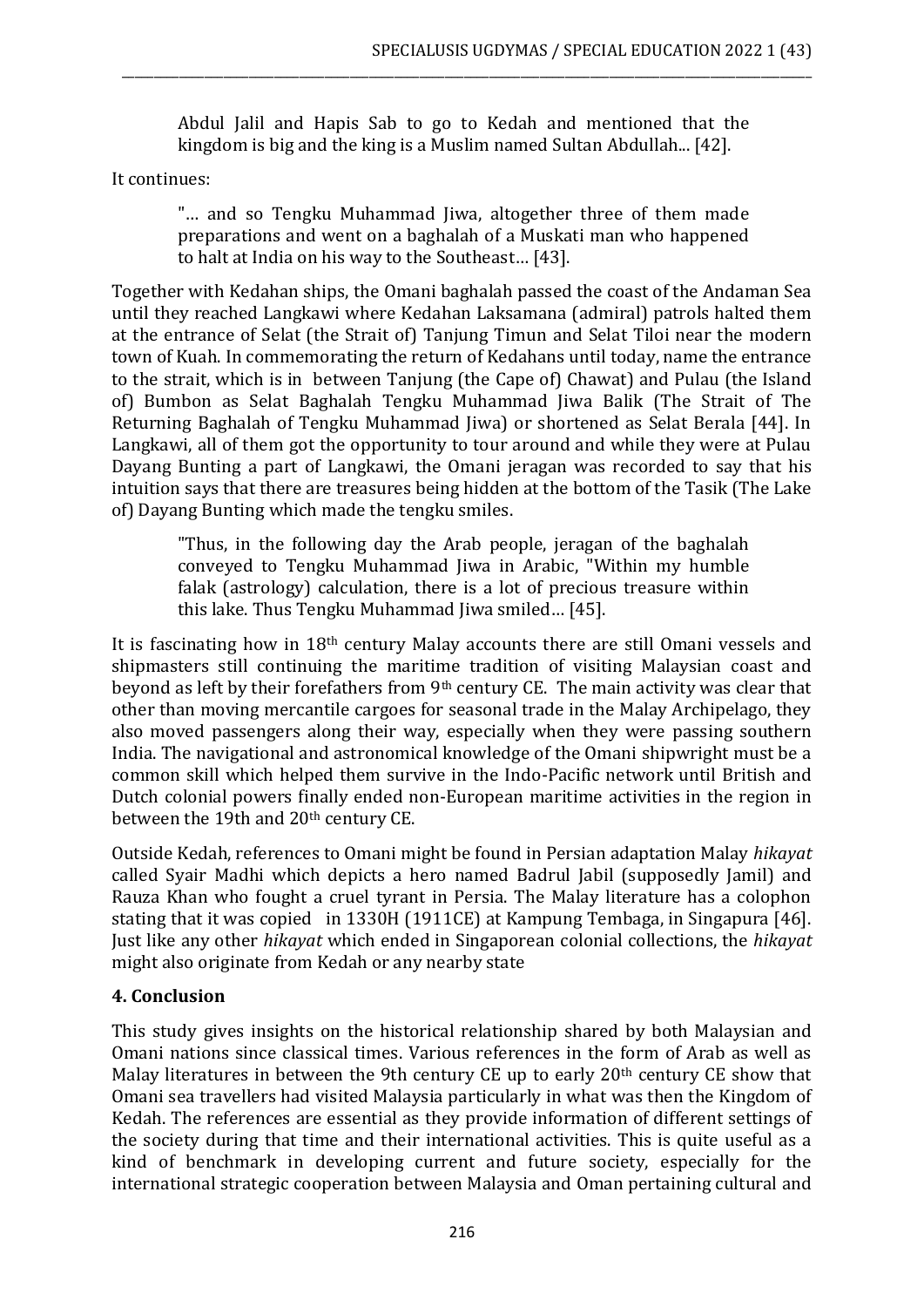Abdul Jalil and Hapis Sab to go to Kedah and mentioned that the kingdom is big and the king is a Muslim named Sultan Abdullah... [42].

\_\_\_\_\_\_\_\_\_\_\_\_\_\_\_\_\_\_\_\_\_\_\_\_\_\_\_\_\_\_\_\_\_\_\_\_\_\_\_\_\_\_\_\_\_\_\_\_\_\_\_\_\_\_\_\_\_\_\_\_\_\_\_\_\_\_\_\_\_\_\_\_\_\_\_\_\_\_\_\_\_\_\_\_\_\_\_\_\_\_\_\_\_\_\_\_\_\_\_\_\_\_\_\_\_\_\_\_\_

It continues:

"… and so Tengku Muhammad Jiwa, altogether three of them made preparations and went on a baghalah of a Muskati man who happened to halt at India on his way to the Southeast… [43].

Together with Kedahan ships, the Omani baghalah passed the coast of the Andaman Sea until they reached Langkawi where Kedahan Laksamana (admiral) patrols halted them at the entrance of Selat (the Strait of) Tanjung Timun and Selat Tiloi near the modern town of Kuah. In commemorating the return of Kedahans until today, name the entrance to the strait, which is in between Tanjung (the Cape of) Chawat) and Pulau (the Island of) Bumbon as Selat Baghalah Tengku Muhammad Jiwa Balik (The Strait of The Returning Baghalah of Tengku Muhammad Jiwa) or shortened as Selat Berala [44]. In Langkawi, all of them got the opportunity to tour around and while they were at Pulau Dayang Bunting a part of Langkawi, the Omani jeragan was recorded to say that his intuition says that there are treasures being hidden at the bottom of the Tasik (The Lake of) Dayang Bunting which made the tengku smiles.

"Thus, in the following day the Arab people, jeragan of the baghalah conveyed to Tengku Muhammad Jiwa in Arabic, "Within my humble falak (astrology) calculation, there is a lot of precious treasure within this lake. Thus Tengku Muhammad Jiwa smiled… [45].

It is fascinating how in 18th century Malay accounts there are still Omani vessels and shipmasters still continuing the maritime tradition of visiting Malaysian coast and beyond as left by their forefathers from 9th century CE. The main activity was clear that other than moving mercantile cargoes for seasonal trade in the Malay Archipelago, they also moved passengers along their way, especially when they were passing southern India. The navigational and astronomical knowledge of the Omani shipwright must be a common skill which helped them survive in the Indo-Pacific network until British and Dutch colonial powers finally ended non-European maritime activities in the region in between the 19th and 20<sup>th</sup> century CE.

Outside Kedah, references to Omani might be found in Persian adaptation Malay *hikayat* called Syair Madhi which depicts a hero named Badrul Jabil (supposedly Jamil) and Rauza Khan who fought a cruel tyrant in Persia. The Malay literature has a colophon stating that it was copied in 1330H (1911CE) at Kampung Tembaga, in Singapura [46]. Just like any other *hikayat* which ended in Singaporean colonial collections, the *hikayat* might also originate from Kedah or any nearby state

# **4. Conclusion**

This study gives insights on the historical relationship shared by both Malaysian and Omani nations since classical times. Various references in the form of Arab as well as Malay literatures in between the 9th century CE up to early 20<sup>th</sup> century CE show that Omani sea travellers had visited Malaysia particularly in what was then the Kingdom of Kedah. The references are essential as they provide information of different settings of the society during that time and their international activities. This is quite useful as a kind of benchmark in developing current and future society, especially for the international strategic cooperation between Malaysia and Oman pertaining cultural and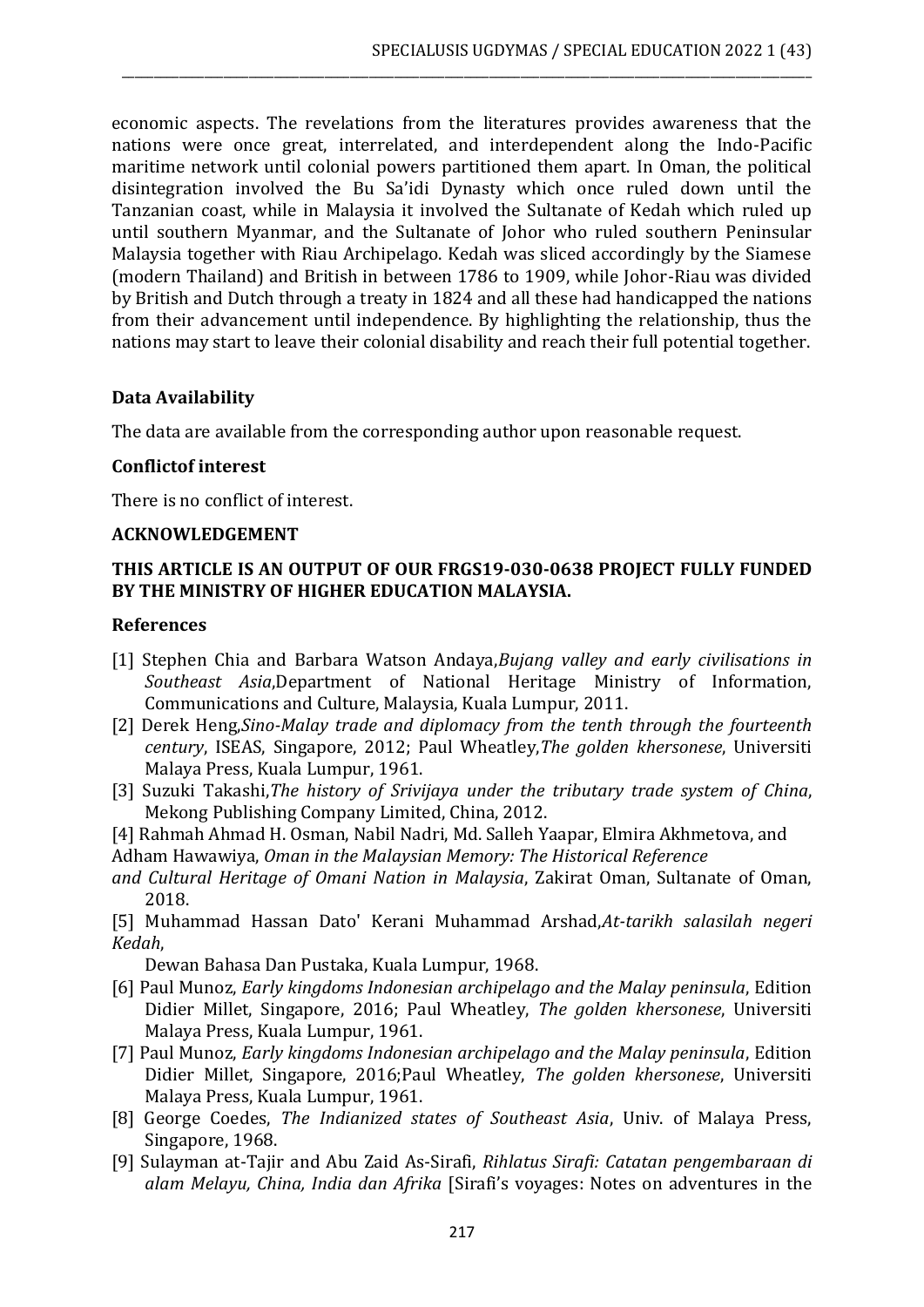economic aspects. The revelations from the literatures provides awareness that the nations were once great, interrelated, and interdependent along the Indo-Pacific maritime network until colonial powers partitioned them apart. In Oman, the political disintegration involved the Bu Sa'idi Dynasty which once ruled down until the Tanzanian coast, while in Malaysia it involved the Sultanate of Kedah which ruled up until southern Myanmar, and the Sultanate of Johor who ruled southern Peninsular Malaysia together with Riau Archipelago. Kedah was sliced accordingly by the Siamese (modern Thailand) and British in between 1786 to 1909, while Johor-Riau was divided by British and Dutch through a treaty in 1824 and all these had handicapped the nations from their advancement until independence. By highlighting the relationship, thus the nations may start to leave their colonial disability and reach their full potential together.

\_\_\_\_\_\_\_\_\_\_\_\_\_\_\_\_\_\_\_\_\_\_\_\_\_\_\_\_\_\_\_\_\_\_\_\_\_\_\_\_\_\_\_\_\_\_\_\_\_\_\_\_\_\_\_\_\_\_\_\_\_\_\_\_\_\_\_\_\_\_\_\_\_\_\_\_\_\_\_\_\_\_\_\_\_\_\_\_\_\_\_\_\_\_\_\_\_\_\_\_\_\_\_\_\_\_\_\_\_

## **Data Availability**

The data are available from the corresponding author upon reasonable request.

## **Conflictof interest**

There is no conflict of interest.

### **ACKNOWLEDGEMENT**

## **THIS ARTICLE IS AN OUTPUT OF OUR FRGS19-030-0638 PROJECT FULLY FUNDED BY THE MINISTRY OF HIGHER EDUCATION MALAYSIA.**

### **References**

- [1] Stephen Chia and Barbara Watson Andaya,*Bujang valley and early civilisations in Southeast Asia*,Department of National Heritage Ministry of Information, Communications and Culture, Malaysia, Kuala Lumpur, 2011.
- [2] Derek Heng,*Sino-Malay trade and diplomacy from the tenth through the fourteenth century*, ISEAS, Singapore, 2012; Paul Wheatley,*The golden khersonese*, Universiti Malaya Press, Kuala Lumpur, 1961.
- [3] Suzuki Takashi,*The history of Srivijaya under the tributary trade system of China*, Mekong Publishing Company Limited, China, 2012.
- [4] Rahmah Ahmad H. Osman, Nabil Nadri, Md. Salleh Yaapar, Elmira Akhmetova, and
- Adham Hawawiya, *Oman in the Malaysian Memory: The Historical Reference*
- *and Cultural Heritage of Omani Nation in Malaysia*, Zakirat Oman, Sultanate of Oman, 2018.
- [5] Muhammad Hassan Dato' Kerani Muhammad Arshad,*At-tarikh salasilah negeri Kedah*,

Dewan Bahasa Dan Pustaka, Kuala Lumpur, 1968.

- [6] Paul Munoz, *Early kingdoms Indonesian archipelago and the Malay peninsula*, Edition Didier Millet, Singapore, 2016; Paul Wheatley, *The golden khersonese*, Universiti Malaya Press, Kuala Lumpur, 1961.
- [7] Paul Munoz, *Early kingdoms Indonesian archipelago and the Malay peninsula*, Edition Didier Millet, Singapore, 2016;Paul Wheatley, *The golden khersonese*, Universiti Malaya Press, Kuala Lumpur, 1961.
- [8] George Coedes, *The Indianized states of Southeast Asia*, Univ. of Malaya Press, Singapore, 1968.
- [9] Sulayman at-Tajir and Abu Zaid As-Sirafi, *Rihlatus Sirafi: Catatan pengembaraan di alam Melayu, China, India dan Afrika* [Sirafi's voyages: Notes on adventures in the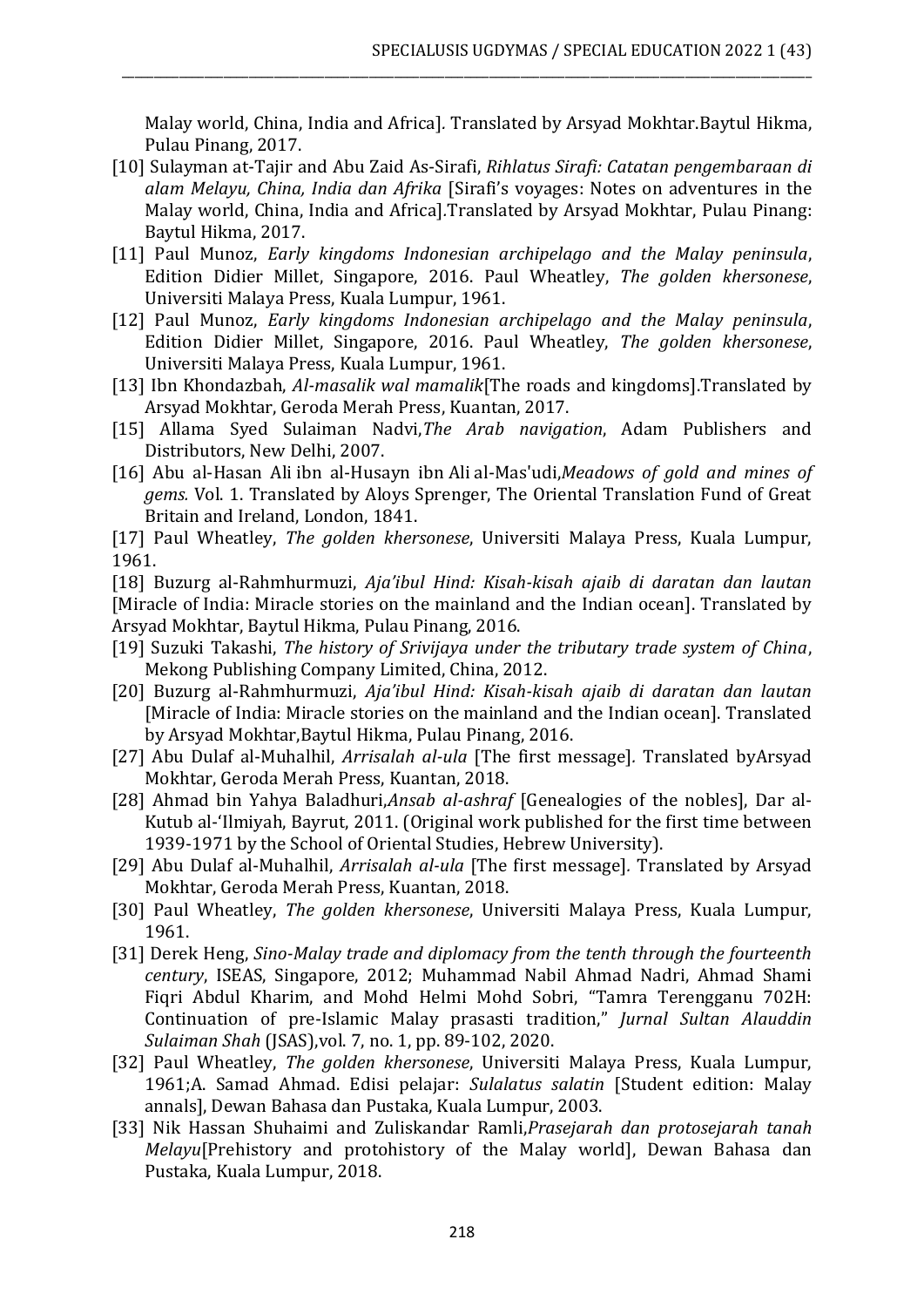Malay world, China, India and Africa]*.* Translated by Arsyad Mokhtar.Baytul Hikma, Pulau Pinang, 2017.

\_\_\_\_\_\_\_\_\_\_\_\_\_\_\_\_\_\_\_\_\_\_\_\_\_\_\_\_\_\_\_\_\_\_\_\_\_\_\_\_\_\_\_\_\_\_\_\_\_\_\_\_\_\_\_\_\_\_\_\_\_\_\_\_\_\_\_\_\_\_\_\_\_\_\_\_\_\_\_\_\_\_\_\_\_\_\_\_\_\_\_\_\_\_\_\_\_\_\_\_\_\_\_\_\_\_\_\_\_

- [10] Sulayman at-Tajir and Abu Zaid As-Sirafi, *Rihlatus Sirafi: Catatan pengembaraan di alam Melayu, China, India dan Afrika* [Sirafi's voyages: Notes on adventures in the Malay world, China, India and Africa]*.*Translated by Arsyad Mokhtar, Pulau Pinang: Baytul Hikma, 2017.
- [11] Paul Munoz, *Early kingdoms Indonesian archipelago and the Malay peninsula*, Edition Didier Millet, Singapore, 2016. Paul Wheatley, *The golden khersonese*, Universiti Malaya Press, Kuala Lumpur, 1961.
- [12] Paul Munoz, *Early kingdoms Indonesian archipelago and the Malay peninsula*, Edition Didier Millet, Singapore, 2016. Paul Wheatley, *The golden khersonese*, Universiti Malaya Press, Kuala Lumpur, 1961.
- [13] Ibn Khondazbah, *Al-masalik wal mamalik*[The roads and kingdoms].Translated by Arsyad Mokhtar, Geroda Merah Press, Kuantan, 2017.
- [15] Allama Syed Sulaiman Nadvi,*The Arab navigation*, Adam Publishers and Distributors, New Delhi, 2007.
- [16] Abu al-Hasan Ali ibn al-Husayn ibn Ali al-Mas'udi,*Meadows of gold and mines of gems.* Vol. 1. Translated by Aloys Sprenger, The Oriental Translation Fund of Great Britain and Ireland, London, 1841.

[17] Paul Wheatley, *The golden khersonese*, Universiti Malaya Press, Kuala Lumpur, 1961.

[18] Buzurg al-Rahmhurmuzi, *Aja'ibul Hind: Kisah-kisah ajaib di daratan dan lautan*  [Miracle of India: Miracle stories on the mainland and the Indian ocean]. Translated by Arsyad Mokhtar, Baytul Hikma, Pulau Pinang, 2016.

- [19] Suzuki Takashi, *The history of Srivijaya under the tributary trade system of China*, Mekong Publishing Company Limited, China, 2012.
- [20] Buzurg al-Rahmhurmuzi, *Aja'ibul Hind: Kisah-kisah ajaib di daratan dan lautan*  [Miracle of India: Miracle stories on the mainland and the Indian ocean]. Translated by Arsyad Mokhtar,Baytul Hikma, Pulau Pinang, 2016.
- [27] Abu Dulaf al-Muhalhil, *Arrisalah al-ula* [The first message]*.* Translated byArsyad Mokhtar, Geroda Merah Press, Kuantan, 2018.
- [28] Ahmad bin Yahya Baladhuri,*Ansab al-ashraf* [Genealogies of the nobles], Dar al-Kutub al-'Ilmiyah, Bayrut, 2011. (Original work published for the first time between 1939-1971 by the School of Oriental Studies, Hebrew University).
- [29] Abu Dulaf al-Muhalhil, *Arrisalah al-ula* [The first message]*.* Translated by Arsyad Mokhtar, Geroda Merah Press, Kuantan, 2018.
- [30] Paul Wheatley, *The golden khersonese*, Universiti Malaya Press, Kuala Lumpur, 1961.
- [31] Derek Heng, *Sino-Malay trade and diplomacy from the tenth through the fourteenth century*, ISEAS, Singapore, 2012; Muhammad Nabil Ahmad Nadri, Ahmad Shami Fiqri Abdul Kharim, and Mohd Helmi Mohd Sobri, "Tamra Terengganu 702H: Continuation of pre-Islamic Malay prasasti tradition," *Jurnal Sultan Alauddin Sulaiman Shah* (JSAS),vol. 7, no. 1, pp. 89-102, 2020.
- [32] Paul Wheatley, *The golden khersonese*, Universiti Malaya Press, Kuala Lumpur, 1961;A. Samad Ahmad. Edisi pelajar: *Sulalatus salatin* [Student edition: Malay annals], Dewan Bahasa dan Pustaka, Kuala Lumpur, 2003.
- [33] Nik Hassan Shuhaimi and Zuliskandar Ramli,*Prasejarah dan protosejarah tanah Melayu*[Prehistory and protohistory of the Malay world], Dewan Bahasa dan Pustaka, Kuala Lumpur, 2018.